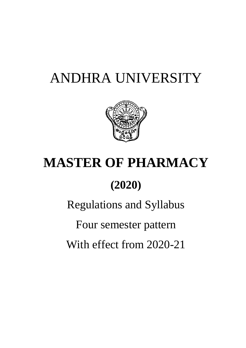# ANDHRA UNIVERSITY



# **MASTER OF PHARMACY**

# **(2020)**

Regulations and Syllabus

Four semester pattern

With effect from 2020-21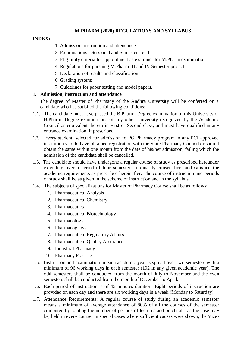# **M.PHARM (2020) REGULATIONS AND SYLLABUS**

# **INDEX:**

- 1. Admission, instruction and attendance
- 2. Examinations Sessional and Semester end
- 3. Eligibility criteria for appointment as examiner for M.Pharm examination
- 4. Regulations for pursuing M.Pharm III and IV Semester project
- 5. Declaration of results and classification:
- 6. Grading system:
- 7. Guidelines for paper setting and model papers.

# **1. Admission, instruction and attendance**

The degree of Master of Pharmacy of the Andhra University will be conferred on a candidate who has satisfied the following conditions:

- 1.1. The candidate must have passed the B.Pharm. Degree examination of this University or B.Pharm. Degree examinations of any other University recognized by the Academic Council as equivalent thereto in First or Second class; and must have qualified in any entrance examination, if prescribed.
- 1.2. Every student, selected for admission to PG Pharmacy program in any PCI approved institution should have obtained registration with the State Pharmacy Council or should obtain the same within one month from the date of his/her admission, failing which the admission of the candidate shall be cancelled.
- 1.3. The candidate should have undergone a regular course of study as prescribed hereunder extending over a period of four semesters, ordinarily consecutive, and satisfied the academic requirements as prescribed hereinafter. The course of instruction and periods of study shall be as given in the scheme of instruction and in the syllabus.
- 1.4. The subjects of specializations for Master of Pharmacy Course shall be as follows:
	- 1. Pharmaceutical Analysis
	- 2. Pharmaceutical Chemistry
	- 3. Pharmaceutics
	- 4. Pharmaceutical Biotechnology
	- 5. Pharmacology
	- 6. Pharmacognosy
	- 7. Pharmaceutical Regulatory Affairs
	- 8. Pharmaceutical Quality Assurance
	- 9. Industrial Pharmacy
	- 10. Pharmacy Practice
- 1.5. Instruction and examination in each academic year is spread over two semesters with a minimum of 96 working days in each semester (192 in any given academic year). The odd semesters shall be conducted from the month of July to November and the even semesters shall be conducted from the month of December to April.
- 1.6. Each period of instruction is of 45 minutes duration. Eight periods of instruction are provided on each day and there are six working days in a week (Monday to Saturday).
- 1.7. Attendance Requirements: A regular course of study during an academic semester means a minimum of average attendance of 80% of all the courses of the semester computed by totaling the number of periods of lectures and practicals, as the case may be, held in every course. In special cases where sufficient causes were shown, the Vice-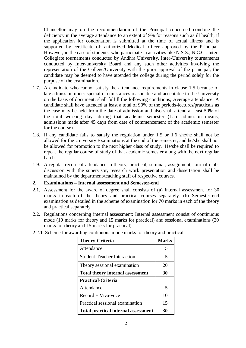Chancellor may on the recommendation of the Principal concerned condone the deficiency in the average attendance to an extent of 9% for reasons such as ill health, if the application for condonation is submitted at the time of actual illness and is supported by certificate of; authorized Medical officer approved by the Principal. However, in the case of students, who participate in activities like N.S.S., N.C.C., Inter-Collegiate tournaments conducted by Andhra University, Inter-University tournaments conducted by Inter-university Board and any such other activities involving the representation of the College/University with the prior approval of the principal, the candidate may be deemed to have attended the college during the period solely for the purpose of the examination.

- 1.7. A candidate who cannot satisfy the attendance requirements in clause 1.5 because of late admission under special circumstances reasonable and acceptable to the University on the basis of document, shall fulfill the following conditions; Average attendance: A candidate shall have attended at least a total of 90% of the periods-lectures/practicals as the case may be held from the date of admission and also shall attend at least 50% of the total working days during that academic semester (Late admission means, admissions made after 45 days from date of commencement of the academic semester for the course).
- 1.8. If any candidate fails to satisfy the regulation under 1.5 or 1.6 she/he shall not be allowed for the University Examinations at the end of the semester, and he/she shall not be allowed for promotion to the next higher class of study. He/she shall be required to repeat the regular course of study of that academic semester along with the next regular batch.
- 1.9. A regular record of attendance in theory, practical, seminar, assignment, journal club, discussion with the supervisor, research work presentation and dissertation shall be maintained by the department/teaching staff of respective courses.

# **2. Examinations – Internal assessment and Semester-end**

- 2.1. Assessment for the award of degree shall consists of (a) internal assessment for 30 marks in each of the theory and practical courses separately. (b) Semester-end examination as detailed in the scheme of examination for 70 marks in each of the theory and practical separately.
- 2.2. Regulations concerning internal assessment: Internal assessment consist of continuous mode (10 marks for theory and 15 marks for practical) and sessional examinations (20 marks for theory and 15 marks for practical)

| <b>Theory-Criteria</b>                     | <b>Marks</b> |
|--------------------------------------------|--------------|
| Attendance                                 | 5            |
| <b>Student-Teacher Interaction</b>         | 5            |
| Theory sessional examination               | 20           |
| <b>Total theory internal assessment</b>    | 30           |
| <b>Practical-Criteria</b>                  |              |
| Attendance                                 | 5            |
| $Record + Viva-voce$                       | 10           |
| Practical sessional examination            | 15           |
| <b>Total practical internal assessment</b> | 30           |

2.2.1. Scheme for awarding continuous mode marks for theory and practical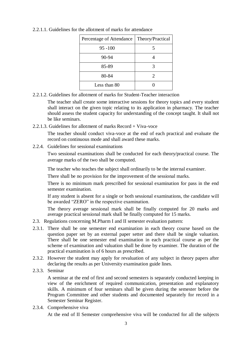| Percentage of Attendance | Theory/Practical      |
|--------------------------|-----------------------|
| $95 - 100$               | 5                     |
| 90-94                    |                       |
| 85-89                    |                       |
| 80-84                    | $\mathcal{D}_{\cdot}$ |
| Less than 80             |                       |

2.2.1.1. Guidelines for the allotment of marks for attendance

2.2.1.2. Guidelines for allotment of marks for Student-Teacher interaction

The teacher shall create some interactive sessions for theory topics and every student shall interact on the given topic relating to its application in pharmacy. The teacher should assess the student capacity for understanding of the concept taught. It shall not be like seminars.

2.2.1.3. Guidelines for allotment of marks Record + Viva-voce

The teacher should conduct viva-voce at the end of each practical and evaluate the record on continuous mode and shall award these marks.

2.2.4. Guidelines for sessional examinations

Two sessional examinations shall be conducted for each theory/practical course. The average marks of the two shall be computed.

The teacher who teaches the subject shall ordinarily to be the internal examiner.

There shall be no provision for the improvement of the sessional marks.

There is no minimum mark prescribed for sessional examination for pass in the end semester examination.

If any student is absent for a single or both sessional examinations, the candidate will be awarded "ZERO" in the respective examination.

The theory average sessional mark shall be finally computed for 20 marks and average practical sessional mark shall be finally computed for 15 marks.

- 2.3. Regulations concerning M.Pharm I and II semester evaluation pattern:
- 2.3.1. There shall be one semester end examination in each theory course based on the question paper set by an external paper setter and there shall be single valuation. There shall be one semester end examination in each practical course as per the scheme of examination and valuation shall be done by examiner. The duration of the practical examination is of 6 hours as prescribed.
- 2.3.2. However the student may apply for revaluation of any subject in theory papers after declaring the results as per University examination guide lines.
- 2.3.3. Seminar

A seminar at the end of first and second semesters is separately conducted keeping in view of the enrichment of required communication, presentation and explanatory skills. A minimum of four seminars shall be given during the semester before the Program Committee and other students and documented separately for record in a Semester Seminar Register.

2.3.4. Comprehensive viva

At the end of II Semester comprehensive viva will be conducted for all the subjects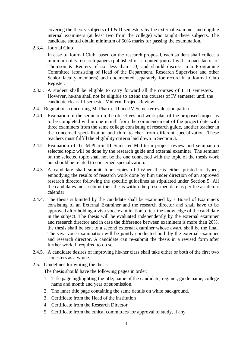covering the theory subjects of I  $&$  II semesters by the external examiner and eligible internal examiners (at least two from the college) who taught these subjects. The candidate should obtain minimum of 50% marks for passing the examination.

2.3.4. Journal Club

In case of Journal Club, based on the research proposal, each student shall collect a minimum of 5 research papers (published in a reputed journal with impact factor of Thomson & Reuters of not less than 1.0) and should discuss in a Programme Committee (consisting of Head of the Department, Research Supervisor and other Senior faculty members) and documented separately for record in a Journal Club Register.

- 2.3.5. A student shall be eligible to carry forward all the courses of I, II semesters. However, he/she shall not be eligible to attend the courses of IV semester until the candidate clears III semester Midterm Project Review.
- 2.4. Regulations concerning M. Pharm. III and IV Semester evaluation pattern:
- 2.4.1. Evaluation of the seminar on the objectives and work plan of the proposed project is to be completed within one month from the commencement of the project date with three examiners from the same college consisting of research guide, another teacher in the concerned specialization and third teacher from different specialization. These teachers must fulfill the eligibility criteria laid down in Section 3.
- 2.4.2. Evaluation of the M.Pharm III Semester Mid-term project review and seminar on selected topic will be done by the research guide and external examiner. The seminar on the selected topic shall not be the one connected with the topic of the thesis work but should be related to concerned specialization.
- 2.4.3. A candidate shall submit four copies of his/her thesis either printed or typed, embodying the results of research work done by him under direction of an approved research director following the specific guidelines as stipulated under Section 5. All the candidates must submit their thesis within the prescribed date as per the academic calendar.
- 2.4.4. The thesis submitted by the candidate shall be examined by a Board of Examiners consisting of an External Examiner and the research director and shall have to be approved after holding a viva voce examination to test the knowledge of the candidate in the subject. The thesis will be evaluated independently by the external examiner and research director and in case the difference between examiners is more than 20%, the thesis shall be sent to a second external examiner whose award shall be the final. The viva-voce examination will be jointly conducted both by the external examiner and research director. A candidate can re-submit the thesis in a revised form after further work, if required to do so.
- 2.4.5. A candidate desires of improving his/her class shall take either or both of the first two semesters as a whole.
- 2.5. Guidelines for writing the thesis

The thesis should have the following pages in order:

- 1. Title page highlighting the title, name of the candidate, reg. no., guide name, college name and month and year of submission.
- 2. The inner title page containing the same details on white background.
- 3. Certificate from the Head of the institution
- 4. Certificate from the Research Director
- 5. Certificate from the ethical committees for approval of study, if any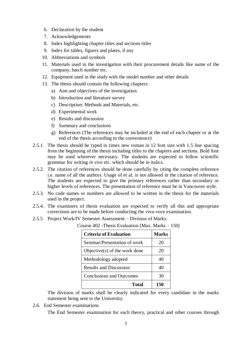- 6. Declaration by the student
- 7. Acknowledgements
- 8. Index highlighting chapter titles and sections titles
- 9. Index for tables, figures and plates, if any
- 10. Abbreviations and symbols
- 11. Materials used in the investigation with their procurement details like name of the company, batch number etc.
- 12. Equipment used in the study with the model number and other details
- 13. The thesis should contain the following chapters:
	- a) Aim and objectives of the investigation
	- b) Introduction and literature survey
	- c) Description: Methods and Materials, etc.
	- d) Experimental work
	- e) Results and discussion
	- f) Summary and conclusions
	- g) References (The references may be included at the end of each chapter or at the end of the thesis according to the convenience)
- 2.5.1. The thesis should be typed in times new roman in 12 font size with 1.5 line spacing from the beginning of the thesis including titles to the chapters and sections. Bold font may be used wherever necessary. The students are expected to follow scientific grammar for writing *in vivo* etc. which should be in italics.
- 2.5.2. The citation of references should be done carefully by citing the complete reference i.e. name of all the authors. Usage of et al. is not allowed in the citation of reference. The students are expected to give the primary references rather than secondary or higher levels of references. The presentation of reference must be in Vancouver style.
- 2.5.3. No code names or numbers are allowed to be written in the thesis for the materials used in the project.
- 2.5.4. The examiners of thesis evaluation are expected to verify all this and appropriate corrections are to be made before conducting the viva-voce examination.
- 2.5.5 Project Work/IV Semester Assessment Division of Marks:

Course 402 -Thesis Evaluation (Max. Marks – 150)

| <b>Criteria of Evaluation</b>    | <b>Marks</b> |
|----------------------------------|--------------|
| Seminar/Presentation of work     | 20           |
| Objective $(s)$ of the work done | 20           |
| Methodology adopted              | 40           |
| <b>Results and Discussion</b>    | 40           |
| <b>Conclusions and Outcomes</b>  | 30           |
| Total                            | 150          |

The division of marks shall be clearly indicated for every candidate in the marks statement being sent to the University.

2.6. End Semester examinations

The End Semester examination for each theory, practical and other courses through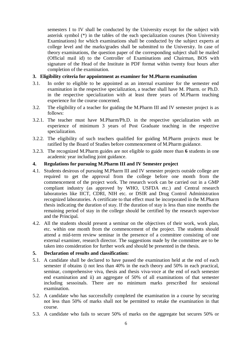semesters I to IV shall be conducted by the University except for the subject with asterisk symbol (\*) in the tables of the each specialization courses (Non University Examinations) for which examinations shall be conducted by the subject experts at college level and the marks/grades shall be submitted to the University. In case of theory examinations, the question paper of the corresponding subject shall be mailed (Official mail id) to the Controller of Examinations and Chairman, BOS with signature of the Head of the Institute in PDF format within twenty four hours after completion of the examination.

# **3. Eligibility criteria for appointment as examiner for M.Pharm examination**

- 3.1. In order to eligible to be appointed as an internal examiner for the semester end examination in the respective specialization, a teacher shall have M. Pharm. or Ph.D. in the respective specialization with at least three years of M.Pharm teaching experience for the course concerned.
- 3.2. The eligibility of a teacher for guiding the M.Pharm III and IV semester project is as follows:
- 3.2.1. The teacher must have M.Pharm/Ph.D. in the respective specialization with an experience of minimum 3 years of Post Graduate teaching in the respective specialization.
- 3.2.2. The eligibility of such teachers qualified for guiding M.Pharm projects must be ratified by the Board of Studies before commencement of M.Pharm guidance.
- 3.2.3. The recognized M.Pharm guides are not eligible to guide more than **6** students in one academic year including joint guidance.

#### **4. Regulations for pursuing M.Pharm III and IV Semester project**

- 4.1. Students desirous of pursuing M.Pharm III and IV semester projects outside college are required to get the approval from the college before one month from the commencement of the project work. The research work can be carried out in a GMP compliant industry (as approved by WHO, USFDA etc.) and Central research laboratories like IICT, CDRI, NIH etc. or DSIR and Drug Control Administration recognized laboratories. A certificate to that effect must be incorporated in the M.Pharm thesis indicating the duration of stay. If the duration of stay is less than nine months the remaining period of stay in the college should be certified by the research supervisor and the Principal.
- 4.2. All the students should present a seminar on the objectives of their work, work plan, etc. within one month from the commencement of the project. The students should attend a mid-term review seminar in the presence of a committee consisting of one external examiner, research director. The suggestions made by the committee are to be taken into consideration for further work and should be presented in the thesis.

# **5. Declaration of results and classification:**

- 5.1. A candidate shall be declared to have passed the examination held at the end of each semester if obtains i) not less than 40% in the each theory and 50% in each practical, seminar, comprehensive viva, thesis and thesis viva-voce at the end of each semester end examination and ii) an aggregate of 50% of all examinations of that semester including sessoinals. There are no minimum marks prescribed for sessional examination.
- 5.2. A candidate who has successfully completed the examination in a course by securing not less than 50% of marks shall not be permitted to retake the examination in that course.
- 5.3. A candidate who fails to secure 50% of marks on the aggregate but secures 50% or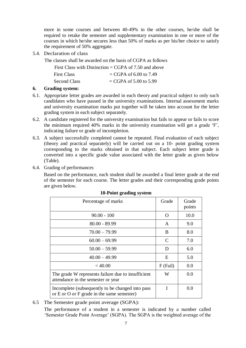more in some courses and between 40-49% in the other courses, he/she shall be required to retake the semester and supplementary examination in one or more of the courses in which he/she secures less than 50% of marks as per his/her choice to satisfy the requirement of 50% aggregate.

5.4. Declaration of class

The classes shall be awarded on the basis of CGPA as follows

|                     | First Class with Distinction = CGPA of 7.50 and above |
|---------------------|-------------------------------------------------------|
| <b>First Class</b>  | $=$ CGPA of 6.00 to 7.49                              |
| <b>Second Class</b> | $CGPA$ of 5.00 to 5.99                                |

# **6. Grading system:**

- 6.1. Appropriate letter grades are awarded in each theory and practical subject to only such candidates who have passed in the university examinations. Internal assessment marks and university examination marks put together will be taken into account for the letter grading system in each subject separately.
- 6.2. A candidate registered for the university examination but fails to appear or fails to score the minimum required 40% marks in the university examination will get a grade 'F', indicating failure or grade of incompletion.
- 6.3. A subject successfully completed cannot be repeated. Final evaluation of each subject (theory and practical separately) will be carried out on a 10- point grading system corresponding to the marks obtained in that subject. Each subject letter grade is converted into a specific grade value associated with the letter grade as given below (Table).
- 6.4. Grading of performances

Based on the performance, each student shall be awarded a final letter grade at the end of the semester for each course. The letter grades and their corresponding grade points are given below.

| Percentage of marks                                                                                  | Grade         | Grade<br>points |
|------------------------------------------------------------------------------------------------------|---------------|-----------------|
| $90.00 - 100$                                                                                        | $\Omega$      | 10.0            |
| $80.00 - 89.99$                                                                                      | A             | 9.0             |
| $70.00 - 79.99$                                                                                      | B             | 8.0             |
| $60.00 - 69.99$                                                                                      | $\mathcal{C}$ | 7.0             |
| $50.00 - 59.99$                                                                                      | D             | 6.0             |
| $40.00 - 49.99$                                                                                      | E             | 5.0             |
| < 40.00                                                                                              | $F$ (Fail)    | 0.0             |
| The grade W represents failure due to insufficient<br>attendance in the semester or year             | W             | 0.0             |
| Incomplete (subsequently to be changed into pass<br>or $E$ or $O$ or $F$ grade in the same semester) | T             | 0.0             |

# **10-Point grading system**

6.5 The Semester grade point average (SGPA):

The performance of a student in a semester is indicated by a number called 'Semester Grade Point Average' (SGPA). The SGPA is the weighted average of the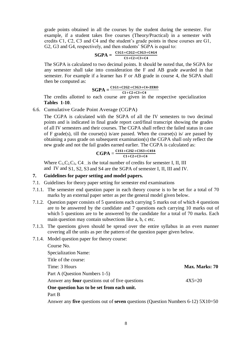grade points obtained in all the courses by the student during the semester. For example, if a student takes five courses (Theory/Practical) in a semester with credits C1, C2, C3 and C4 and the student's grade points in these courses are G1, G2, G3 and G4, respectively, and then students' SGPA is equal to:

# $SGPA = \frac{C1G1 + C2G2 + C3G3 + C4G4}{C1}$  $C1+C2+C3+C4$

The SGPA is calculated to two decimal points. It should be noted that, the SGPA for any semester shall take into consideration the F and AB grade awarded in that semester. For example if a learner has F or AB grade in course 4, the SGPA shall then be computed as:

# $SGPA = \frac{C1G1 + C2G2 + C3G3 + C4*ZERO}{}$

 $\overline{C1+C2+C3+C4}$ The credits allotted to each course are given in the respective specialization **Tables 1-10**.

6.6. Cumulative Grade Point Average (CGPA)

The CGPA is calculated with the SGPA of all the IV semesters to two decimal points and is indicated in final grade report card/final transcript showing the grades of all IV semesters and their courses. The CGPA shall reflect the failed status in case of F grade(s), till the course(s) is/are passed. When the course(s) is/ are passed by obtaining a pass grade on subsequent examination(s) the CGPA shall only reflect the new grade and not the fail grades earned earlier. The CGPA is calculated as:

$$
CGPA = \frac{c1s1 + c2s2 + c3s3 + c4s4}{c1 + c2 + c3 + c4}
$$

Where  $C_1, C_2, C_3, C_4$  is the total number of credits for semester I, II, III and IV and S1, S2, S3 and S4 are the SGPA of semester I, II, III and IV.

# **7. Guidelines for paper setting and model papers.**

- 7.1. Guidelines for theory paper setting for semester end examinations
- 7.1.1. The semester end question paper in each theory course is to be set for a total of 70 marks by an external paper setter as per the general model given below.
- 7.1.2. Question paper consists of 5 questions each carrying 5 marks out of which 4 questions are to be answered by the candidate and 7 questions each carrying 10 marks out of which 5 questions are to be answered by the candidate for a total of 70 marks. Each main question may contain subsections like a, b, c etc.
- 7.1.3. The questions given should be spread over the entire syllabus in an even manner covering all the units as per the pattern of the question paper given below.
- 7.1.4. Model question paper for theory course:

| Course No.                                             |                |
|--------------------------------------------------------|----------------|
| <b>Specialization Name:</b>                            |                |
| Title of the course:                                   |                |
| Time: 3 Hours                                          | Max. Marks: 70 |
| Part A (Question Numbers 1-5)                          |                |
| Answer any <b>four</b> questions out of five questions | $4X5=20$       |
| One question has to be set from each unit.             |                |
| Part B                                                 |                |
|                                                        |                |

Answer any **five** questions out of **seven** questions (Question Numbers 6-12) 5X10=50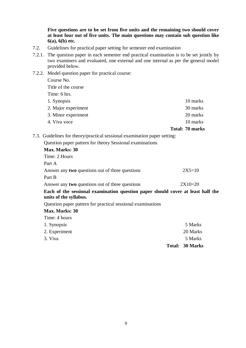**Five questions are to be set from five units and the remaining two should cover at least four out of five units. The main questions may contain sub question like 6(a), 6(b) etc.**

- 7.2. Guidelines for practical paper setting for semester end examination
- 7.2.1. The question paper in each semester end practical examination is to be set jointly by two examiners and evaluated, one external and one internal as per the general model provided below.
- 7.2.2. Model question paper for practical course:

Course No. Title of the course Time: 6 hrs. 1. Synopsis 10 marks 2. Major experiment 30 marks 3. Minor experiment 20 marks 20 marks 4. Viva voce 10 marks **Total: 70 marks**

7.3. Guidelines for theory/practical sessional examination paper setting:

| Question paper pattern for theory Sessional examinations                                                  |           |
|-----------------------------------------------------------------------------------------------------------|-----------|
| Max. Marks: 30                                                                                            |           |
| Time: 2 Hours                                                                                             |           |
| Part A                                                                                                    |           |
| Answer any <b>two</b> questions out of three questions                                                    | $2X5=10$  |
| Part B                                                                                                    |           |
| Answer any <b>two</b> questions out of three questions                                                    | $2X10=20$ |
| Each of the sessional examination question paper should cover at least half the<br>units of the syllabus. |           |
| Question paper pattern for practical sessional examinations                                               |           |
| Max. Marks: 30                                                                                            |           |
| Time: 4 hours                                                                                             |           |

|               | Total: 30 Marks |
|---------------|-----------------|
| 3. Viva       | 5 Marks         |
| 2. Experiment | 20 Marks        |
| 1. Synopsis   | 5 Marks         |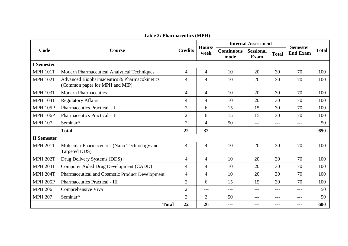**Table 3: Pharmaceutics (MPH)**

| Code               | <b>Course</b>                                                                  | <b>Credits</b> | Hours/<br>week | <b>Internal Assessment</b> |                          |              |                                    |              |
|--------------------|--------------------------------------------------------------------------------|----------------|----------------|----------------------------|--------------------------|--------------|------------------------------------|--------------|
|                    |                                                                                |                |                | <b>Continuous</b><br>mode  | <b>Sessional</b><br>Exam | <b>Total</b> | <b>Semester</b><br><b>End Exam</b> | <b>Total</b> |
| <b>I</b> Semester  |                                                                                |                |                |                            |                          |              |                                    |              |
| <b>MPH 101T</b>    | Modern Pharmaceutical Analytical Techniques                                    | 4              | 4              | 10                         | 20                       | 30           | 70                                 | 100          |
| <b>MPH 102T</b>    | Advanced Biopharmaceutics & Pharmacokinetics<br>(Common paper for MPH and MIP) | 4              | 4              | 10                         | 20                       | 30           | 70                                 | 100          |
| <b>MPH 103T</b>    | <b>Modern Pharmaceutics</b>                                                    | $\overline{4}$ | $\overline{4}$ | 10                         | 20                       | 30           | 70                                 | 100          |
| <b>MPH 104T</b>    | <b>Regulatory Affairs</b>                                                      | 4              | 4              | 10                         | 20                       | 30           | 70                                 | 100          |
| <b>MPH 105P</b>    | Pharmaceutics Practical - I                                                    | $\overline{2}$ | 6              | 15                         | 15                       | 30           | 70                                 | 100          |
| <b>MPH 106P</b>    | Pharmaceutics Practical - II                                                   | $\overline{2}$ | 6              | 15                         | 15                       | 30           | 70                                 | 100          |
| <b>MPH 107</b>     | Seminar*                                                                       | $\overline{2}$ | $\overline{4}$ | 50                         | $---$                    | $---$        | $---$                              | 50           |
|                    | <b>Total</b>                                                                   | 22             | 32             | $---$                      | ---                      | ---          | ---                                | 650          |
| <b>II</b> Semester |                                                                                |                |                |                            |                          |              |                                    |              |
| <b>MPH 201T</b>    | Molecular Pharmaceutics (Nano Technology and<br>Targeted DDS)                  | 4              | 4              | 10                         | 20                       | 30           | 70                                 | 100          |
| <b>MPH 202T</b>    | Drug Delivery Systems (DDS)                                                    | $\overline{4}$ | $\overline{4}$ | 10                         | 20                       | 30           | 70                                 | 100          |
| <b>MPH 203T</b>    | Computer Aided Drug Development (CADD)                                         | $\overline{4}$ | $\overline{4}$ | 10                         | 20                       | 30           | 70                                 | 100          |
| <b>MPH 204T</b>    | Pharmaceutical and Cosmetic Product Development                                | $\overline{4}$ | $\overline{4}$ | 10                         | 20                       | 30           | 70                                 | 100          |
| <b>MPH 205P</b>    | <b>Pharmaceutics Practical - III</b>                                           | $\overline{2}$ | 6              | 15                         | 15                       | 30           | 70                                 | 100          |
| <b>MPH 206</b>     | Comprehensive Viva                                                             | $\overline{2}$ | $---$          | $---$                      | $---$                    | $---$        | $---$                              | 50           |
| <b>MPH 207</b>     | Seminar*                                                                       | $\overline{2}$ | $\overline{2}$ | 50                         | $---$                    | $---$        | $---$                              | 50           |
|                    | <b>Total</b>                                                                   | 22             | 26             | $---$                      | ---                      | ---          | ---                                | 600          |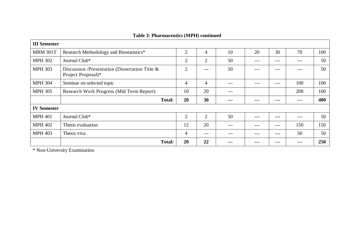| <b>III</b> Semester |                                                                         |                |                |         |         |       |         |     |
|---------------------|-------------------------------------------------------------------------|----------------|----------------|---------|---------|-------|---------|-----|
| <b>MRM 301T</b>     | Research Methodology and Biostatistics*                                 | $\overline{2}$ | 4              | 10      | 20      | 30    | 70      | 100 |
| <b>MPH 302</b>      | Journal Club*                                                           | $\overline{2}$ | 2              | 50      | $---$   | $---$ | ---     | 50  |
| <b>MPH 303</b>      | Discussion /Presentation (Dissertation Title $\&$<br>Project Proposal)* | $\overline{2}$ | $---$          | 50      | ---     | $---$ | $- - -$ | 50  |
| <b>MPH 304</b>      | Seminar on selected topic                                               | 4              | 4              |         |         | $---$ | 100     | 100 |
| <b>MPH 305</b>      | Research Work Progress (Mid Term Report)                                | 10             | 20             | ---     |         |       | 200     | 100 |
|                     | <b>Total:</b>                                                           | 20             | 30             | $- - -$ | ---     | ---   | ---     | 400 |
| <b>IV Semester</b>  |                                                                         |                |                |         |         |       |         |     |
| <b>MPH 401</b>      | Journal Club*                                                           | $\overline{2}$ | $\overline{2}$ | 50      | $- - -$ | ---   | ---     | 50  |
| <b>MPH 402</b>      | Thesis evaluation                                                       | 12             | 20             | $- - -$ | $- - -$ | ---   | 150     | 150 |
| <b>MPH 403</b>      | Thesis viva                                                             | 4              | $---$          | $- - -$ | $- - -$ | ---   | 50      | 50  |
|                     | <b>Total:</b>                                                           | 20             | 22             |         |         |       | ---     | 250 |

# **Table 3: Pharmaceutics (MPH) continued**

\* Non-University Examination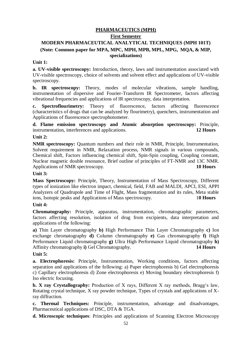# **PHARMACEUTICS (MPH) First Semester MODERN PHARMACEUTICAL ANALYTICAL TECHNIQUES (MPH 101T) (Note: Common paper for MPA, MPC, MPH, MPB, MPL, MPG, MQA, & MIP, specializations)**

# **Unit 1:**

**a. UV-visible spectroscopy:** Introduction, theory, laws and instrumentation associated with UV-visible spectroscopy, choice of solvents and solvent effect and applications of UV-visible spectroscopy.

**b. IR spectroscopy:** Theory, modes of molecular vibrations, sample handling, instrumentation of dispersive and Fourier-Transform IR Spectrometer, factors affecting vibrational frequencies and applications of IR spectroscopy, data interpretation.

**c. Spectroflourimetry:** Theory of fluorescence, factors affecting fluorescence (characteristics of drugs that can be analyzed by flourimetry), quenchers, instrumentation and Applications of fluorescence spectrophotometer.

**d. Flame emission spectroscopy and Atomic absorption spectroscopy:** Principle, instrumentation, interferences and applications. **12 Hours**

# **Unit 2:**

**NMR spectroscopy:** Quantum numbers and their role in NMR, Principle, Instrumentation, Solvent requirement in NMR, Relaxation process, NMR signals in various compounds, Chemical shift, Factors influencing chemical shift, Spin-Spin coupling, Coupling constant, Nuclear magnetic double resonance, Brief outline of principles of FT-NMR and 13C NMR. Applications of NMR spectroscopy. **10 Hours**

# **Unit 3:**

**Mass Spectroscopy:** Principle, Theory, Instrumentation of Mass Spectroscopy, Different types of ionization like electron impact, chemical, field, FAB and MALDI, APCI, ESI, APPI Analyzers of Quadrupole and Time of Flight, Mass fragmentation and its rules, Meta stable ions, Isotopic peaks and Applications of Mass spectroscopy. 1**0 Hours**

# **Unit 4:**

**Chromatography:** Principle, apparatus, instrumentation, chromatographic parameters, factors affecting resolution, isolation of drug from excipients, data interpretation and applications of the following:

**a)** Thin Layer chromatography **b)** High Performance Thin Layer Chromatography **c)** Ion exchange chromatography **d)** Column chromatography **e)** Gas chromatography **f)** High Performance Liquid chromatography **g)** Ultra High Performance Liquid chromatography **h)** Affinity chromatography **i)** Gel Chromatography. **14 Hours**

# **Unit 5:**

**a. Electrophoresis:** Principle, Instrumentation, Working conditions, factors affecting separation and applications of the following: a) Paper electrophoresis b) Gel electrophoresis c) Capillary electrophoresis d) Zone electrophoresis e) Moving boundary electrophoresis f) Iso electric focusing.

**b. X ray Crystallography:** Production of X rays, Different X ray methods, Bragg's law, Rotating crystal technique, X ray powder technique, Types of crystals and applications of Xray diffraction.

**c. Thermal Techniques:** Principle, instrumentation, advantage and disadvantages, Pharmaceutical applications of DSC, DTA & TGA.

**d. Microscopic techniques**: Principles and applications of Scanning Electron Microscopy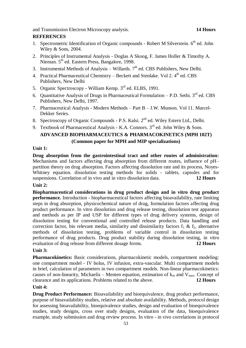and Transmission Electron Microscopy analysis. **14 Hours**

# **REFERENCES**

- 1. Spectrometric Identification of Organic compounds Robert M Silverstein. 6<sup>th</sup> ed. John Wiley & Sons, 2004.
- 2. Principles of Instrumental Analysis Doglas A Skoog, F. James Holler & Timothy A. Nieman. 5<sup>th</sup> ed. Eastern Press, Bangalore, 1998.
- 3. Instrumental Methods of Analysis Willards.  $7<sup>th</sup>$  ed. CBS Publishers, New Delhi.
- 4. Practical Pharmaceutical Chemistry Beckett and Stenlake. Vol 2. 4<sup>th</sup> ed. CBS Publishers, New Delhi
- 5. Organic Spectroscopy William Kemp. 3<sup>rd</sup> ed. ELBS, 1991.
- 6. Quantitative Analysis of Drugs in Pharmaceutical Formulation  $-$  P.D. Sethi.  $3<sup>rd</sup>$  ed. CBS Publishers, New Delhi, 1997.
- 7. Pharmaceutical Analysis Modern Methods Part B J.W. Munson. Vol 11. Marcel-Dekker Series.
- 8. Spectroscopy of Organic Compounds P.S. Kalsi. 2<sup>nd</sup> ed. Wiley Estern Ltd., Delhi.

# 9. Textbook of Pharmaceutical Analysis - K.A. Connors.  $3<sup>rd</sup>$  ed. John Wiley & Sons. **ADVANCED BIOPHARMACEUTICS & PHARMACOKINETICS (MPH 102T) (Common paper for MPH and MIP specializations)**

# **Unit 1:**

**Drug absorption from the gastrointestinal tract and other routes of administration:** Mechanisms and factors affecting drug absorption from different routes, influence of pH– partition theory on drug absorption. Factors affecting dissolution rate and its process, Noyes-Whitney equation. dissolution testing methods for solids - tablets, capsules and for suspensions. Correlation of in vivo and in vitro dissolution data. **12 Hours**

# **Unit 2:**

**Biopharmaceutical considerations in drug product design and in vitro drug product performance.** Introduction - biopharmaceutical factors affecting bioavailability, rate limiting steps in drug absorption, physicochemical nature of drug, formulation factors affecting drug product performance. In vitro dissolution and drug release testing, dissolution test apparatus and methods as per IP and USP for different types of drug delivery systems, design of dissolution testing for conventional and controlled release products. Data handling and correction factor, bio relevant media, similarity and dissimilarity factors  $f_1 \& f_2$ , alternative methods of dissolution testing, problems of variable control in dissolution testing performance of drug products. Drug product stability during dissolution testing, in vitro evaluation of drug release from different dosage forms. **12 Hours**

# **Unit 3:**

**Pharmacokinetics:** Basic considerations, pharmacokinetic models, compartment modeling: one compartment model - IV bolus, IV infusion, extra-vascular. Multi compartment models in brief, calculation of parameters in two compartment models. Non-linear pharmacokinetics: causes of non-linearity, Michaelis – Menten equation, estimation of  $k_m$  and  $V_{max}$ . Concept of clearance and its applications. Problems related to the above. **12 Hours**

# **Unit 4:**

**Drug Product Performance:** Bioavailability and bioequivalence, drug product performance, purpose of bioavailability studies, relative and absolute availability. Methods, protocol design for assessing bioavailability, bioequivalence studies, design and evaluation of bioequivalence studies, study designs, cross over study designs, evaluation of the data, bioequivalence example, study submission and drug review process. In vitro - in vivo correlations in protocol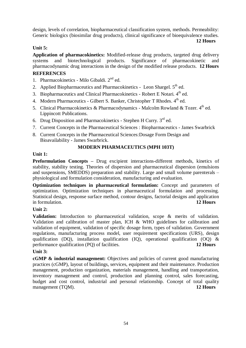design, levels of correlation, biopharmaceutical classification system, methods. Permeability: Generic biologics (biosimilar drug products), clinical significance of bioequivalence studies.

**12 Hours**

# **Unit 5:**

**Application of pharmacokinetics:** Modified-release drug products, targeted drug delivery systems and biotechnological products. Significance of pharmacokinetic and pharmacodynamic drug interactions in the design of the modified release products. **12 Hours**

# **REFERENCES**

- 1. Pharmacokinetics Milo Gibaldi. 2<sup>nd</sup> ed.
- 2. Applied Biopharmaceutics and Pharmacokinetics Leon Shargel. 5<sup>th</sup> ed.
- 3. Biopharmaceutics and Clinical Pharmacokinetics Robert E Notari. 4<sup>th</sup> ed.
- 4. Modern Pharmaceutics Gilbert S. Banker, Christopher T Rhodes. 4th ed.
- 5. Clinical Pharmacokinetics & Pharmacodynamics Malcolm Rowland & Tozer.  $4<sup>th</sup>$  ed. Lippincott Publications.
- 6. Drug Disposition and Pharmacokinetics Stephen H Curry. 3<sup>rd</sup> ed.
- 7. Current Concepts in the Pharmaceutical Sciences : Biopharmaceutics James Swarbrick
- 8. Current Concepts in the Pharmaceutical Sciences:Dosage Form Design and Bioavailability - James Swarbrick.

# **MODERN PHARMACEUTICS (MPH 103T)**

# **Unit 1:**

**Preformulation Concepts –** Drug excipient interactions-different methods, kinetics of stability, stability testing. Theories of dispersion and pharmaceutical dispersion (emulsions and suspensions, SMEDDS) preparation and stability. Large and small volume parenterals – physiological and formulation consideration, manufacturing and evaluation.

**Optimization techniques in pharmaceutical formulation:** Concept and parameters of optimization. Optimization techniques in pharmaceutical formulation and processing. Statistical design, response surface method, contour designs, factorial designs and application in formulation. **12 Hours**

# **Unit 2:**

**Validation:** Introduction to pharmaceutical validation, scope & merits of validation. Validation and calibration of master plan, ICH & WHO guidelines for calibration and validation of equipment, validation of specific dosage form, types of validation. Government regulations, manufacturing process model, user requirement specifications (URS), design qualification (DQ), installation qualification (IQ), operational qualification (OQ) & performance qualification (PQ) of facilities. **12 Hours**

# **Unit 3:**

**cGMP & industrial management:** Objectives and policies of current good manufacturing practices (cGMP), layout of buildings, services, equipment and their maintenance. Production management, production organization, materials management, handling and transportation, inventory management and control, production and planning control, sales forecasting, budget and cost control, industrial and personal relationship. Concept of total quality management (TQM). **12 Hours**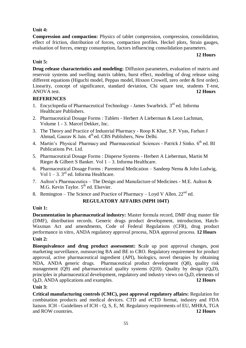# **Unit 4:**

**Compression and compaction:** Physics of tablet compression, compression, consolidation, effect of friction, distribution of forces, compaction profiles. Heckel plots, Strain gauges, evaluation of forces, energy consumption, factors influencing consolidation parameters.

#### **12 Hours**

# **Unit 5:**

**Drug release characteristics and modeling:** Diffusion parameters, evaluation of matrix and reservoir systems and swelling matrix tablets, burst effect, modeling of drug release using different equations (Higuchi model, Peppas model, Hixson Crowell, zero order & first order). Linearity, concept of significance, standard deviation, Chi square test, students T-test, ANOVA test. **12 Hours**

# **REFERENCES**

- 1. Encyclopedia of Pharmaceutical Technology James Swarbrick. 3<sup>rd</sup> ed. Informa Healthcare Publishers.
- 2. Pharmaceutical Dosage Forms : Tablets Herbert A Lieberman & Leon Lachman, Volume 1 - 3. Marcel Dekker, Inc.
- 3. The Theory and Practice of Industrial Pharmacy Roop K Khar, S.P. Vyas, Farhan J Ahmad, Gaurav K Jain. 4<sup>th</sup> ed. CBS Publishers, New Delhi.
- 4. Martin's Physical Pharmacy and Pharmaceutical Sciences Patrick J Sinko. 6<sup>th</sup> ed. BI Publications Pvt. Ltd.
- 5. Pharmaceutical Dosage Forms : Disperse Systems Herbert A Lieberman, Martin M Rieger & Gilbert S Banker. Vol  $1 - 3$ . Informa Healthcare.
- 6. Pharmaceutical Dosage Forms : Parenteral Medication Sandeep Nema & John Ludwig, Vol  $1 - 3$ ,  $3^{rd}$  ed. Informa Healthcare.
- 7. Aulton's Pharmaceutics The Design and Manufacture of Medicines M.E. Aulton  $\&$ M.G. Kevin Taylor. 5<sup>th</sup> ed. Elsevier.
- 8. Remington The Science and Practice of Pharmacy Loyd V Allen.  $22^{nd}$  ed.

# **REGULATORY AFFAIRS (MPH 104T)**

# **Unit 1:**

**Documentation in pharmaceutical industry:** Master formula record, DMF drug master file (DMF), distribution records. Generic drugs product development, introduction, Hatch-Waxman Act and amendments, Code of Federal Regulations (CFR), drug product performance in vitro, ANDA regulatory approval process, NDA approval process. **12 Hours**

# **Unit 2:**

**Bioequivalence and drug product assessment: S**cale up post approval changes, post marketing surveillance, outsourcing BA and BE to CRO. Regulatory requirement for product approval, active pharmaceutical ingredient (API), biologics, novel therapies by obtaining NDA, ANDA generic drugs. Pharmaceutical product development (Q8), quality risk management (Q9) and pharmaceutical quality systems (Q10). Quality by design  $(Q_bD)$ , principles in pharmaceutical development, regulatory and industry views on  $Q_bD$ , elements of QbD, ANDA applications and examples. **12 Hours** 

# **Unit 3:**

**Critical manufacturing controls (CMC), post approval regulatory affairs:** Regulation for combination products and medical devices. CTD and eCTD format, industry and FDA liaison. ICH - Guidelines of ICH - Q, S, E, M. Regulatory requirements of EU, MHRA, TGA and ROW countries. **12 Hours**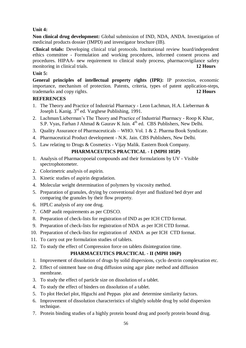# **Unit 4:**

**Non clinical drug development:** Global submission of IND, NDA, ANDA. Investigation of medicinal products dossier (IMPD) and investigator brochure (IB).

**Clinical trials:** Developing clinical trial protocols. Institutional review board/independent ethics committee - Formulation and working procedures, informed consent process and procedures. HIPAA- new requirement to clinical study process, pharmacovigilance safety monitoring in clinical trials. **12 Hours**

# **Unit 5:**

**General principles of intellectual property rights (IPR):** IP protection, economic importance, mechanism of protection. Patents, criteria, types of patent application-steps, trademarks and copy rights. **12 Hours**

# **REFERENCES**

- 1. The Theory and Practice of Industrial Pharmacy Leon Lachman, H.A. Lieberman & Joseph L Kanig. 3<sup>rd</sup> ed. Varghese Publishing, 1991.
- 2. Lachman/Lieberman's The Theory and Practice of Industrial Pharmacy Roop K Khar, S.P. Vyas, Farhan J Ahmad & Gaurav K Jain. 4<sup>th</sup> ed. CBS Publishers, New Delhi.
- 3. Quality Assurance of Pharmaceuticals WHO. Vol. 1 & 2. Pharma Book Syndicate.
- 4. Pharmaceutical Product development N.K. Jain. CBS Publishers, New Delhi.
- 5. Law relating to Drugs & Cosmetics Vijay Malik. Eastern Book Company.

# **PHARMACEUTICS PRACTICAL - I (MPH 105P)**

- 1. Analysis of Pharmacopoeial compounds and their formulations by UV Visible spectrophotometer.
- 2. Colorimetric analysis of aspirin.
- 3. Kinetic studies of aspirin degradation.
- 4. Molecular weight determination of polymers by viscosity method.
- 5. Preparation of granules, drying by conventional dryer and fluidized bed dryer and comparing the granules by their flow property.
- 6. HPLC analysis of any one drug.
- 7. GMP audit requirements as per CDSCO.
- 8. Preparation of check-lists for registration of IND as per ICH CTD format.
- 9. Preparation of check-lists for registration of NDA as per ICH CTD format.
- 10. Preparation of check-lists for registration of ANDA as per ICH CTD format.
- 11. To carry out pre formulation studies of tablets.
- 12. To study the effect of Compression force on tablets disintegration time.

# **PHARMACEUTICS PRACTICAL - II (MPH 106P)**

- 1. Improvement of dissolution of drugs by solid dispersions, cyclo dextrin complexation etc.
- 2. Effect of ointment base on drug diffusion using agar plate method and diffusion membrane.
- 3. To study the effect of particle size on dissolution of a tablet.
- 4. To study the effect of binders on dissolution of a tablet.
- 5. To plot Heckel plot, Higuchi and Peppas plot and determine similarity factors.
- 6. Improvement of dissolution characteristics of slightly soluble drug by solid dispersion technique.
- 7. Protein binding studies of a highly protein bound drug and poorly protein bound drug.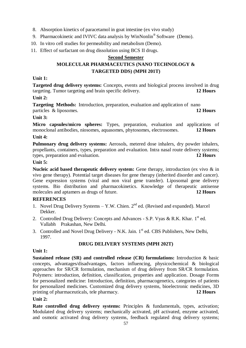- 8. Absorption kinetics of paracetamol in goat intestine (ex vivo study)
- 9. Pharmacokinetic and IVIVC data analysis by WinNonlin<sup>®</sup> Software (Demo).
- 10. In vitro cell studies for permeability and metabolism (Demo).
- 11. Effect of surfactant on drug dissolution using BCS II drugs.

# **Second Semester**

# **MOLECULAR PHARMACEUTICS (NANO TECHNOLOGY & TARGETED DDS) (MPH 201T)**

# **Unit 1:**

**Targeted drug delivery systems:** Concepts, events and biological process involved in drug targeting. Tumor targeting and brain specific delivery. **12 Hours**

# **Unit 2:**

**Targeting Methods:** Introduction, preparation, evaluation and application of nano particles & liposomes. **12 Hours**

# **Unit 3:**

**Micro capsules/micro spheres:** Types, preparation, evaluation and applications of monoclonal antibodies, niosomes, aquasomes, phytosomes, electrosomes. **12 Hours**

# **Unit 4:**

**Pulmonary drug delivery systems:** Aerosols, metered dose inhalers, dry powder inhalers, propellants, containers, types, preparation and evaluation. Intra nasal route delivery systems; types, preparation and evaluation. **12 Hours**

# **Unit 5:**

**Nucleic acid based therapeutic delivery system:** Gene therapy, introduction (ex vivo & in vivo gene therapy). Potential target diseases for gene therapy (inherited disorder and cancer). Gene expression systems (viral and non viral gene transfer). Liposomal gene delivery systems. Bio distribution and pharmacokinetics. Knowledge of therapeutic antisense molecules and aptamers as drugs of future. **12 Hours**

# **REFERENCES**

- 1. Novel Drug Delivery Systems  $-$  Y.W. Chien.  $2<sup>nd</sup>$  ed. (Revised and expanded). Marcel Dekker.
- 2. Controlled Drug Delivery: Concepts and Advances S.P. Vyas & R.K. Khar.  $1<sup>st</sup>$  ed. Vallabh Prakashan, New Delhi.
- 3. Controlled and Novel Drug Delivery N.K. Jain. 1<sup>st</sup> ed. CBS Publishers, New Delhi, 1997.

# **DRUG DELIVERY SYSTEMS (MPH 202T)**

# **Unit 1:**

**Sustained release (SR) and controlled release (CR) formulations:** Introduction & basic concepts, advantages/disadvantages, factors influencing, physicochemical & biological approaches for SR/CR formulation, mechanism of drug delivery from SR/CR formulation. Polymers: introduction, definition, classification, properties and application. Dosage Forms for personalized medicine: Introduction, definition, pharmacogenetics, categories of patients for personalized medicines. Customized drug delivery systems, bioelectronic medicines, 3D printing of pharmaceuticals, tele pharmacy. **12 Hours**

# **Unit 2:**

**Rate controlled drug delivery systems:** Principles & fundamentals, types, activation; Modulated drug delivery systems; mechanically activated, pH activated, enzyme activated, and osmotic activated drug delivery systems, feedback regulated drug delivery systems;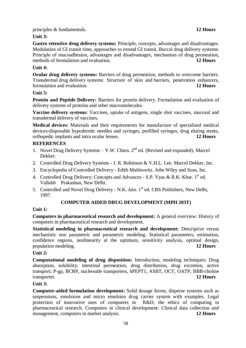principles & fundamentals. **12 Hours**

**Unit 3:**

**Gastro retentive drug delivery systems:** Principle, concepts, advantages and disadvantages. Modulation of GI transit time, approaches to extend GI transit. Buccal drug delivery systems: Principle of mucoadhesion, advantages and disadvantages, mechanism of drug permeation, methods of formulation and evaluation. **12 Hours**

# **Unit 4:**

**Ocular drug delivery systems:** Barriers of drug permeation, methods to overcome barriers. Transdermal drug delivery systems: Structure of skin and barriers, penetration enhancers, formulation and evaluation. **12 Hours**

# **Unit 5:**

**Protein and Peptide Delivery:** Barriers for protein delivery. Formulation and evaluation of delivery systems of proteins and other macromolecules.

**Vaccine delivery systems:** Vaccines, uptake of antigens, single shot vaccines, mucosal and transdermal delivery of vaccines.

**Medical devices:** Materials and their requirements for manufacture of specialized medical devices-disposable hypodermic needles and syringes, prefilled syringes, drug eluting stents, orthopedic implants and intra ocular lenses. **12 Hours**

# **REFERENCES**

- 1. Novel Drug Delivery Systems  $-$  Y.W. Chien.  $2<sup>nd</sup>$  ed. (Revised and expanded). Marcel Dekker.
- 2. Controlled Drug Delivery Systems J. R. Robinson & V.H.L. Lee. Marcel Dekker, Inc.
- 3. Encyclopedia of Controlled Delivery Edith Mathiowitz. John Wiley and Sons, Inc.
- 4. Controlled Drug Delivery: Concepts and Advances S.P. Vyas & R.K. Khar. 1<sup>st</sup> ed. Vallabh Prakashan, New Delhi.
- 5. Controlled and Novel Drug Delivery N.K. Jain. 1<sup>st</sup> ed. CBS Publishers, New Delhi, 1997.

# **COMPUTER AIDED DRUG DEVELOPMENT (MPH 203T)**

# **Unit 1:**

**Computers in pharmaceutical research and development:** A general overview: History of computers in pharmaceutical research and development.

**Statistical modeling in pharmaceutical research and development:** Descriptive versus mechanistic non parametric and parametric modeling. Statistical parameters, estimation, confidence regions, nonlinearity at the optimum, sensitivity analysis, optimal design, population modeling. **12 Hours**

# **Unit 2:**

**Computational modeling of drug disposition:** Introduction, modeling techniques: Drug absorption, solubility, intestinal permeation, drug distribution, drug excretion, active transport; P-gp, BCRP, nucleoside transporters, hPEPT1, ASBT, OCT, OATP, BBB-choline transporter. **12 Hours**

# **Unit 3:**

**Computer-aided formulation development:** Solid dosage forms, disperse systems such as suspensions, emulsions and micro emulsion drug carrier system with examples. Legal protection of innovative uses of computers in R&D, the ethics of computing in pharmaceutical research. Computers in clinical development: Clinical data collection and management, computers in market analysis. **12 Hours**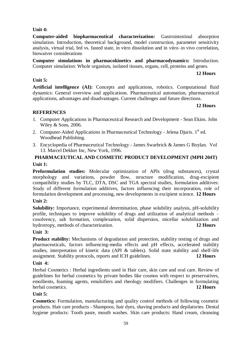# 59

# **Unit 4:**

**Computer-aided biopharmaceutical characterization:** Gastrointestinal absorption simulation. Introduction, theoretical background, model construction, parameter sensitivity analysis, virtual trial, fed vs. fasted state, in vitro dissolution and in vitro–in vivo correlation, biowaiver considerations

**Computer simulations in pharmacokinetics and pharmacodynamics:** Introduction. Computer simulation: Whole organism, isolated tissues, organs, cell, proteins and genes.

# **12 Hours**

# **Unit 5:**

**Artificial intelligence (AI):** Concepts and applications, robotics. Computational fluid dynamics: General overview and applications. Pharmaceutical automation, pharmaceutical applications, advantages and disadvantages. Current challenges and future directions.

# **12 Hours**

# **REFERENCES**

- 1. Computer Applications in Pharmaceutical Research and Development Sean Ekins. John Wiley & Sons, 2006.
- 2. Computer-Aided Applications in Pharmaceutical Technology Jelena Djuris.  $1<sup>st</sup>$  ed. Woodhead Publishing.
- 3. Encyclopedia of Pharmaceutical Technology James Swarbrick & James G Boylan. Vol 13. Marcel Dekker Inc, New York, 1996.

# **PHARMACEUTICAL AND COSMETIC PRODUCT DEVELOPMENT (MPH 204T)**

# **Unit 1:**

**Preformulation studies:** Molecular optimization of APIs (drug substances), crystal morphology and variations, powder flow, structure modification, drug-excipient compatibility studies by TLC, DTA, DSC and TGA spectral studies, formulation additives: Study of different formulation additives, factors influencing their incorporation, role of formulation development and processing, new developments in excipient science. **12 Hours**

# **Unit 2:**

**Solubility:** Importance, experimental determination, phase solubility analysis, pH-solubility profile, techniques to improve solubility of drugs and utilization of analytical methods – cosolvency, salt formation, complexation, solid dispersion, micellar solubilization and hydrotropy, methods of characterization. **12 Hours**

# **Unit 3:**

**Product stability:** Mechanisms of degradation and protection, stability testing of drugs and pharmaceuticals, factors influencing-media effects and pH effects, accelerated stability studies, interpretation of kinetic data (API & tablets). Solid state stability and shelf-life assignment. Stability protocols, reports and ICH guidelines. **12 Hours**

# **Unit 4:**

Herbal Cosmetics : Herbal ingredients used in Hair care, skin care and oral care. Review of guidelines for herbal cosmetics by private bodies like cosmos with respect to preservatives, emollients, foaming agents, emulsifiers and rheology modifiers. Challenges in formulating herbal cosmetics. **12 Hours**

# **Unit 5:**

**Cosmetics:** Formulation, manufacturing and quality control methods of following cosmetic products. Hair care products - Shampoos, hair dyes, shaving products and depilatories. Dental hygiene products: Tooth paste, mouth washes. Skin care products: Hand cream, cleansing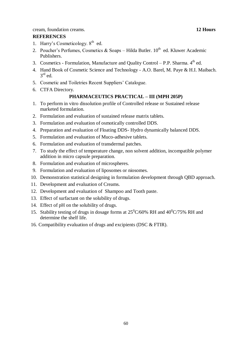cream, foundation creams. **12 Hours**

# **REFERENCES**

- 1. Harry's Cosmeticology.  $8<sup>th</sup>$  ed.
- 2. Poucher's Perfumes, Cosmetics & Soaps Hilda Butler.  $10^{th}$  ed. Kluwer Academic Publishers.
- 3. Cosmetics Formulation, Manufacture and Quality Control P.P. Sharma.  $4<sup>th</sup>$  ed.
- 4. Hand Book of Cosmetic Science and Technology A.O. Barel, M. Paye & H.I. Maibach.  $3^{\text{rd}}$  ed.
- 5. Cosmetic and Toiletries Recent Suppliers' Catalogue.
- 6. CTFA Directory.

# **PHARMACEUTICS PRACTICAL – III (MPH 205P)**

- 1. To perform in vitro dissolution profile of Controlled release or Sustained release marketed formulation.
- 2. Formulation and evaluation of sustained release matrix tablets.
- 3. Formulation and evaluation of osmotically controlled DDS.
- 4. Preparation and evaluation of Floating DDS- Hydro dynamically balanced DDS.
- 5. Formulation and evaluation of Muco-adhesive tablets.
- 6. Formulation and evaluation of transdermal patches.
- 7. To study the effect of temperature change, non solvent addition, incompatible polymer addition in micro capsule preparation.
- 8. Formulation and evaluation of microspheres.
- 9. Formulation and evaluation of liposomes or niosomes.
- 10. Demonstration statistical designing in formulation development through QBD approach.
- 11. Development and evaluation of Creams.
- 12. Development and evaluation of Shampoo and Tooth paste.
- 13. Effect of surfactant on the solubility of drugs.
- 14. Effect of pH on the solubility of drugs.
- 15. Stability testing of drugs in dosage forms at  $25^{\circ}$ C/60% RH and  $40^{\circ}$ C/75% RH and determine the shelf life.
- 16. Compatibility evaluation of drugs and excipients (DSC & FTIR).